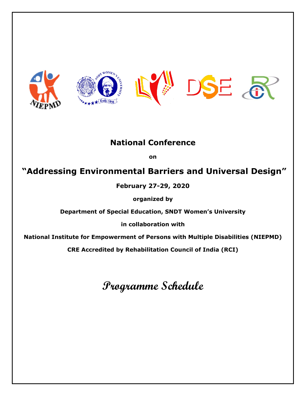

## **National Conference**

**on** 

## **"Addressing Environmental Barriers and Universal Design"**

**February 27-29, 2020**

**organized by** 

**Department of Special Education, SNDT Women's University**

**in collaboration with** 

**National Institute for Empowerment of Persons with Multiple Disabilities (NIEPMD)**

**CRE Accredited by Rehabilitation Council of India (RCI)**

## **Programme Schedule**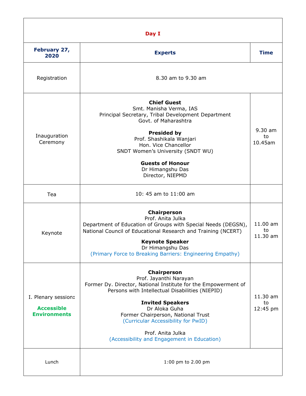| Day I                                                           |                                                                                                                                                                                                                                                                                                                                                         |                            |  |
|-----------------------------------------------------------------|---------------------------------------------------------------------------------------------------------------------------------------------------------------------------------------------------------------------------------------------------------------------------------------------------------------------------------------------------------|----------------------------|--|
| February 27,<br>2020                                            | <b>Experts</b>                                                                                                                                                                                                                                                                                                                                          | <b>Time</b>                |  |
| Registration                                                    | 8.30 am to 9.30 am                                                                                                                                                                                                                                                                                                                                      |                            |  |
| Inauguration<br>Ceremony                                        | <b>Chief Guest</b><br>Smt. Manisha Verma, IAS<br>Principal Secretary, Tribal Development Department<br>Govt. of Maharashtra<br><b>Presided by</b><br>Prof. Shashikala Wanjari<br>Hon. Vice Chancellor<br>SNDT Women's University (SNDT WU)<br><b>Guests of Honour</b><br>Dr Himangshu Das<br>Director, NIEPMD                                           | 9.30 am<br>to<br>10.45am   |  |
| Tea                                                             | 10: 45 am to 11:00 am                                                                                                                                                                                                                                                                                                                                   |                            |  |
| Keynote                                                         | Chairperson<br>Prof. Anita Julka<br>Department of Education of Groups with Special Needs (DEGSN),<br>National Council of Educational Research and Training (NCERT)<br><b>Keynote Speaker</b><br>Dr Himangshu Das<br>(Primary Force to Breaking Barriers: Engineering Empathy)                                                                           | 11.00 am<br>to<br>11.30 am |  |
| I. Plenary session:<br><b>Accessible</b><br><b>Environments</b> | Chairperson<br>Prof. Jayanthi Narayan<br>Former Dy. Director, National Institute for the Empowerment of<br>Persons with Intellectual Disabilities (NIEPID)<br><b>Invited Speakers</b><br>Dr Aloka Guha<br>Former Chairperson, National Trust<br>(Curricular Accessibility for PwID)<br>Prof. Anita Julka<br>(Accessibility and Engagement in Education) | 11.30 am<br>to<br>12:45 pm |  |
| Lunch                                                           | 1:00 pm to 2.00 pm                                                                                                                                                                                                                                                                                                                                      |                            |  |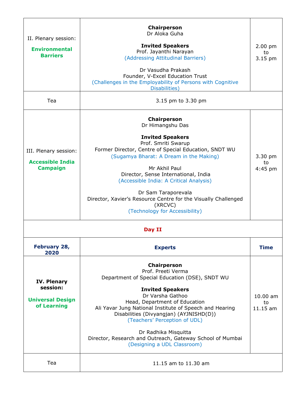| II. Plenary session:<br><b>Environmental</b><br><b>Barriers</b><br>Tea   | <b>Chairperson</b><br>Dr Aloka Guha<br><b>Invited Speakers</b><br>Prof. Jayanthi Narayan<br>(Addressing Attitudinal Barriers)<br>Dr Vasudha Prakash<br>Founder, V-Excel Education Trust<br>(Challenges in the Employability of Persons with Cognitive<br>Disabilities)<br>3.15 pm to 3.30 pm                                                                                                                                           | $2.00$ pm<br>to<br>3.15 pm     |  |  |
|--------------------------------------------------------------------------|----------------------------------------------------------------------------------------------------------------------------------------------------------------------------------------------------------------------------------------------------------------------------------------------------------------------------------------------------------------------------------------------------------------------------------------|--------------------------------|--|--|
| III. Plenary session:<br><b>Accessible India</b><br><b>Campaign</b>      | <b>Chairperson</b><br>Dr Himangshu Das<br><b>Invited Speakers</b><br>Prof. Smriti Swarup<br>Former Director, Centre of Special Education, SNDT WU<br>(Sugamya Bharat: A Dream in the Making)<br>Mr Akhil Paul<br>Director, Sense International, India<br>(Accessible India: A Critical Analysis)<br>Dr Sam Taraporevala<br>Director, Xavier's Resource Centre for the Visually Challenged<br>(XRCVC)<br>(Technology for Accessibility) | 3.30 pm<br>to<br>$4:45$ pm     |  |  |
| Day II                                                                   |                                                                                                                                                                                                                                                                                                                                                                                                                                        |                                |  |  |
| February 28,<br>2020                                                     | <b>Experts</b>                                                                                                                                                                                                                                                                                                                                                                                                                         | <b>Time</b>                    |  |  |
| <b>IV. Plenary</b><br>session:<br><b>Universal Design</b><br>of Learning | <b>Chairperson</b><br>Prof. Preeti Verma<br>Department of Special Education (DSE), SNDT WU<br><b>Invited Speakers</b><br>Dr Varsha Gathoo<br>Head, Department of Education<br>Ali Yavar Jung National Institute of Speech and Hearing<br>Disabilities (Divyangjan) (AYJNISHD(D))<br>(Teachers' Perception of UDL)<br>Dr Radhika Misquitta<br>Director, Research and Outreach, Gateway School of Mumbai<br>(Designing a UDL Classroom)  | $10.00$ am<br>to<br>$11.15$ am |  |  |
| Tea                                                                      | 11.15 am to 11.30 am                                                                                                                                                                                                                                                                                                                                                                                                                   |                                |  |  |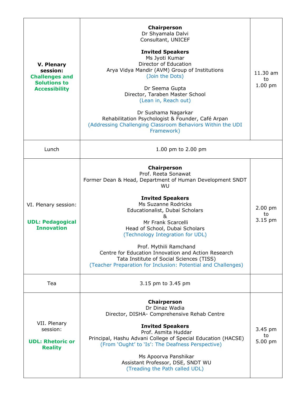| <b>V. Plenary</b><br>session:<br><b>Challenges and</b><br><b>Solutions to</b><br><b>Accessibility</b> | <b>Chairperson</b><br>Dr Shyamala Dalvi<br>Consultant, UNICEF<br><b>Invited Speakers</b><br>Ms Jyoti Kumar<br>Director of Education<br>Arya Vidya Mandir (AVM) Group of Institutions<br>(Join the Dots)<br>Dr Seema Gupta<br>Director, Taraben Master School<br>(Lean in, Reach out)<br>Dr Sushama Nagarkar<br>Rehabilitation Psychologist & Founder, Café Arpan<br>(Addressing Challenging Classroom Behaviors Within the UDI<br>Framework)                                                   | 11.30 am<br>to<br>$1.00$ pm |
|-------------------------------------------------------------------------------------------------------|------------------------------------------------------------------------------------------------------------------------------------------------------------------------------------------------------------------------------------------------------------------------------------------------------------------------------------------------------------------------------------------------------------------------------------------------------------------------------------------------|-----------------------------|
| Lunch                                                                                                 | 1.00 pm to 2.00 pm                                                                                                                                                                                                                                                                                                                                                                                                                                                                             |                             |
| VI. Plenary session:<br><b>UDL: Pedagogical</b><br><b>Innovation</b>                                  | <b>Chairperson</b><br>Prof. Reeta Sonawat<br>Former Dean & Head, Department of Human Development SNDT<br>WU<br><b>Invited Speakers</b><br>Ms Suzanne Rodricks<br>Educationalist, Dubai Scholars<br>&<br>Mr Frank Scarcelli<br>Head of School, Dubai Scholars<br>(Technology Integration for UDL)<br>Prof. Mythili Ramchand<br>Centre for Education Innovation and Action Research<br>Tata Institute of Social Sciences (TISS)<br>(Teacher Preparation for Inclusion: Potential and Challenges) | 2.00 pm<br>to<br>3.15 pm    |
| Tea                                                                                                   | 3.15 pm to 3.45 pm                                                                                                                                                                                                                                                                                                                                                                                                                                                                             |                             |
| VII. Plenary<br>session:<br><b>UDL: Rhetoric or</b><br><b>Reality</b>                                 | <b>Chairperson</b><br>Dr Dinaz Wadia<br>Director, DISHA- Comprehensive Rehab Centre<br><b>Invited Speakers</b><br>Prof. Asmita Huddar<br>Principal, Hashu Advani College of Special Education (HACSE)<br>(From 'Ought' to 'Is': The Deafness Perspective)<br>Ms Apoorva Panshikar<br>Assistant Professor, DSE, SNDT WU<br>(Treading the Path called UDL)                                                                                                                                       | 3.45 pm<br>to<br>5.00 pm    |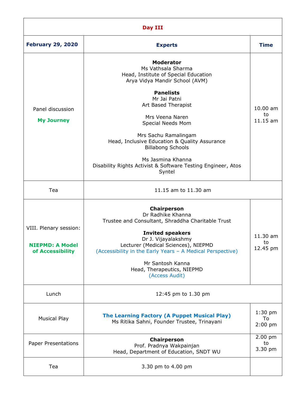| Day III                                                              |                                                                                                                                                                                                                                                                                                                                                                                                                         |                                      |  |  |
|----------------------------------------------------------------------|-------------------------------------------------------------------------------------------------------------------------------------------------------------------------------------------------------------------------------------------------------------------------------------------------------------------------------------------------------------------------------------------------------------------------|--------------------------------------|--|--|
| <b>February 29, 2020</b>                                             | <b>Experts</b>                                                                                                                                                                                                                                                                                                                                                                                                          | <b>Time</b>                          |  |  |
| Panel discussion<br><b>My Journey</b>                                | <b>Moderator</b><br>Ms Vathsala Sharma<br>Head, Institute of Special Education<br>Arya Vidya Mandir School (AVM)<br><b>Panelists</b><br>Mr Jai Patni<br>Art Based Therapist<br>Mrs Veena Naren<br>Special Needs Mom<br>Mrs Sachu Ramalingam<br>Head, Inclusive Education & Quality Assurance<br><b>Billabong Schools</b><br>Ms Jasmina Khanna<br>Disability Rights Activist & Software Testing Engineer, Atos<br>Syntel | 10.00 am<br>to<br>11.15 am           |  |  |
| Tea                                                                  | 11.15 am to 11.30 am                                                                                                                                                                                                                                                                                                                                                                                                    |                                      |  |  |
| VIII. Plenary session:<br><b>NIEPMD: A Model</b><br>of Accessibility | Chairperson<br>Dr Radhike Khanna<br>Trustee and Consultant, Shraddha Charitable Trust<br><b>Invited speakers</b><br>Dr J. Vijayalakshmy<br>Lecturer (Medical Sciences), NIEPMD<br>(Accessibility in the Early Years - A Medical Perspective)<br>Mr Santosh Kanna<br>Head, Therapeutics, NIEPMD<br>(Access Audit)                                                                                                        | $11.30 \text{ am}$<br>to<br>12.45 pm |  |  |
| Lunch                                                                | 12:45 pm to 1.30 pm                                                                                                                                                                                                                                                                                                                                                                                                     |                                      |  |  |
| <b>Musical Play</b>                                                  | The Learning Factory (A Puppet Musical Play)<br>Ms Ritika Sahni, Founder Trustee, Trinayani                                                                                                                                                                                                                                                                                                                             | $1:30$ pm<br>To<br>$2:00$ pm         |  |  |
| Paper Presentations                                                  | Chairperson<br>Prof. Pradnya Wakpainjan<br>Head, Department of Education, SNDT WU                                                                                                                                                                                                                                                                                                                                       | 2.00 pm<br>to<br>3.30 pm             |  |  |
| Tea                                                                  | 3.30 pm to 4.00 pm                                                                                                                                                                                                                                                                                                                                                                                                      |                                      |  |  |